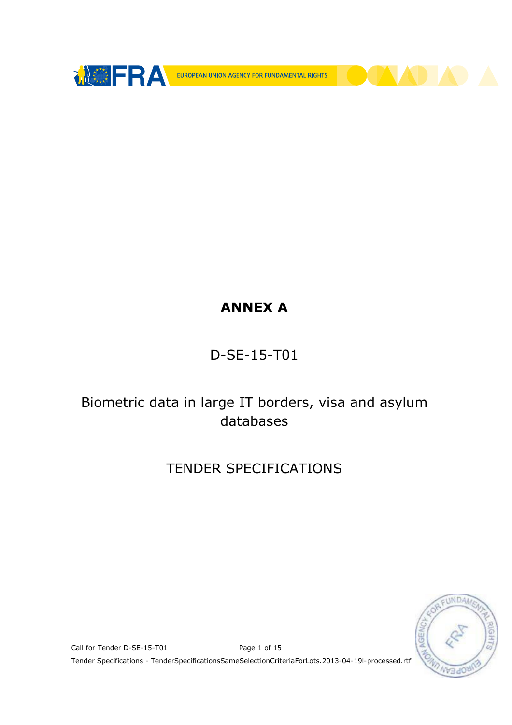

# ANNEX A

## D-SE-15-T01

## Biometric data in large IT borders, visa and asylum databases

## TENDER SPECIFICATIONS



Call for Tender D-SE-15-T01 Page 1 of 15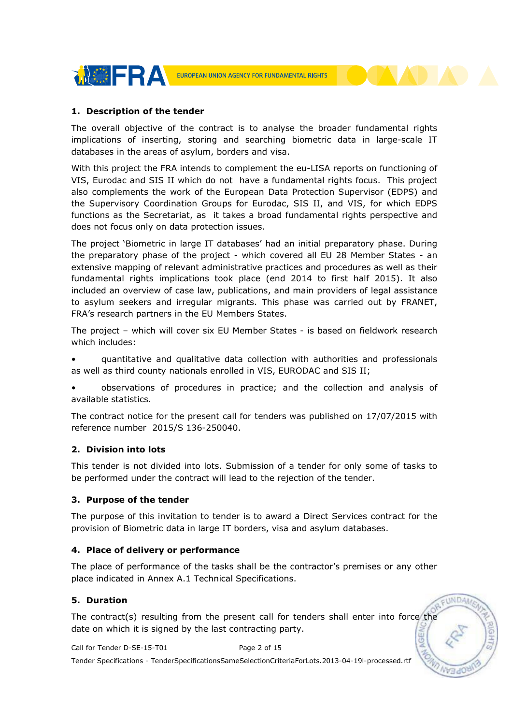

#### 1. Description of the tender

The overall objective of the contract is to analyse the broader fundamental rights implications of inserting, storing and searching biometric data in large-scale IT databases in the areas of asylum, borders and visa.

With this project the FRA intends to complement the eu-LISA reports on functioning of VIS, Eurodac and SIS II which do not have a fundamental rights focus. This project also complements the work of the European Data Protection Supervisor (EDPS) and the Supervisory Coordination Groups for Eurodac, SIS II, and VIS, for which EDPS functions as the Secretariat, as it takes a broad fundamental rights perspective and does not focus only on data protection issues.

The project 'Biometric in large IT databases' had an initial preparatory phase. During the preparatory phase of the project - which covered all EU 28 Member States - an extensive mapping of relevant administrative practices and procedures as well as their fundamental rights implications took place (end 2014 to first half 2015). It also included an overview of case law, publications, and main providers of legal assistance to asylum seekers and irregular migrants. This phase was carried out by FRANET, FRA's research partners in the EU Members States.

The project – which will cover six EU Member States - is based on fieldwork research which includes:

• quantitative and qualitative data collection with authorities and professionals as well as third county nationals enrolled in VIS, EURODAC and SIS II;

• observations of procedures in practice; and the collection and analysis of available statistics.

The contract notice for the present call for tenders was published on 17/07/2015 with reference number 2015/S 136-250040.

#### 2. Division into lots

This tender is not divided into lots. Submission of a tender for only some of tasks to be performed under the contract will lead to the rejection of the tender.

#### 3. Purpose of the tender

The purpose of this invitation to tender is to award a Direct Services contract for the provision of Biometric data in large IT borders, visa and asylum databases.

#### 4. Place of delivery or performance

The place of performance of the tasks shall be the contractor's premises or any other place indicated in Annex A.1 Technical Specifications.

EUNDA

#### 5. Duration

The contract(s) resulting from the present call for tenders shall enter into force the date on which it is signed by the last contracting party. **NGEA** 

Call for Tender D-SE-15-T01 Page 2 of 15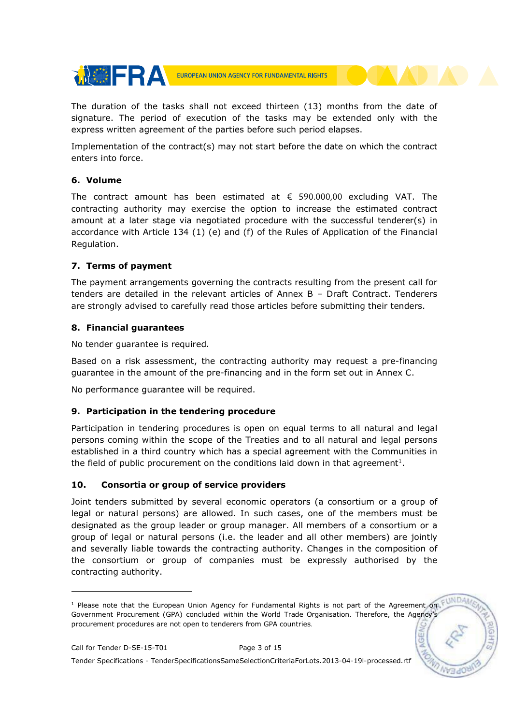

The duration of the tasks shall not exceed thirteen (13) months from the date of signature. The period of execution of the tasks may be extended only with the express written agreement of the parties before such period elapses.

Implementation of the contract(s) may not start before the date on which the contract enters into force.

#### 6. Volume

The contract amount has been estimated at  $\epsilon$  590.000,00 excluding VAT. The contracting authority may exercise the option to increase the estimated contract amount at a later stage via negotiated procedure with the successful tenderer(s) in accordance with Article 134 (1) (e) and (f) of the Rules of Application of the Financial Regulation.

### 7. Terms of payment

The payment arrangements governing the contracts resulting from the present call for tenders are detailed in the relevant articles of Annex B – Draft Contract. Tenderers are strongly advised to carefully read those articles before submitting their tenders.

### 8. Financial guarantees

No tender guarantee is required.

Based on a risk assessment, the contracting authority may request a pre-financing guarantee in the amount of the pre-financing and in the form set out in Annex C.

No performance guarantee will be required.

## 9. Participation in the tendering procedure

Participation in tendering procedures is open on equal terms to all natural and legal persons coming within the scope of the Treaties and to all natural and legal persons established in a third country which has a special agreement with the Communities in the field of public procurement on the conditions laid down in that agreement<sup>1</sup>.

## 10. Consortia or group of service providers

Joint tenders submitted by several economic operators (a consortium or a group of legal or natural persons) are allowed. In such cases, one of the members must be designated as the group leader or group manager. All members of a consortium or a group of legal or natural persons (i.e. the leader and all other members) are jointly and severally liable towards the contracting authority. Changes in the composition of the consortium or group of companies must be expressly authorised by the contracting authority.

-

<sup>&</sup>lt;sup>1</sup> Please note that the European Union Agency for Fundamental Rights is not part of the Agreement on Government Procurement (GPA) concluded within the World Trade Organisation. Therefore, the Agency's procurement procedures are not open to tenderers from GPA countries.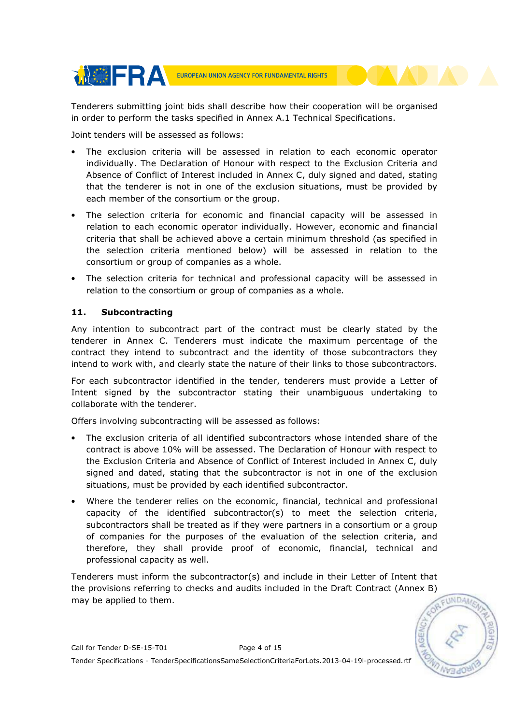

Tenderers submitting joint bids shall describe how their cooperation will be organised in order to perform the tasks specified in Annex A.1 Technical Specifications.

Joint tenders will be assessed as follows:

- The exclusion criteria will be assessed in relation to each economic operator individually. The Declaration of Honour with respect to the Exclusion Criteria and Absence of Conflict of Interest included in Annex C, duly signed and dated, stating that the tenderer is not in one of the exclusion situations, must be provided by each member of the consortium or the group.
- The selection criteria for economic and financial capacity will be assessed in relation to each economic operator individually. However, economic and financial criteria that shall be achieved above a certain minimum threshold (as specified in the selection criteria mentioned below) will be assessed in relation to the consortium or group of companies as a whole.
- The selection criteria for technical and professional capacity will be assessed in relation to the consortium or group of companies as a whole.

## 11. Subcontracting

Any intention to subcontract part of the contract must be clearly stated by the tenderer in Annex C. Tenderers must indicate the maximum percentage of the contract they intend to subcontract and the identity of those subcontractors they intend to work with, and clearly state the nature of their links to those subcontractors.

For each subcontractor identified in the tender, tenderers must provide a Letter of Intent signed by the subcontractor stating their unambiguous undertaking to collaborate with the tenderer.

Offers involving subcontracting will be assessed as follows:

- The exclusion criteria of all identified subcontractors whose intended share of the contract is above 10% will be assessed. The Declaration of Honour with respect to the Exclusion Criteria and Absence of Conflict of Interest included in Annex C, duly signed and dated, stating that the subcontractor is not in one of the exclusion situations, must be provided by each identified subcontractor.
- Where the tenderer relies on the economic, financial, technical and professional capacity of the identified subcontractor(s) to meet the selection criteria, subcontractors shall be treated as if they were partners in a consortium or a group of companies for the purposes of the evaluation of the selection criteria, and therefore, they shall provide proof of economic, financial, technical and professional capacity as well.

Tenderers must inform the subcontractor(s) and include in their Letter of Intent that the provisions referring to checks and audits included in the Draft Contract (Annex B) may be applied to them.

FUNDA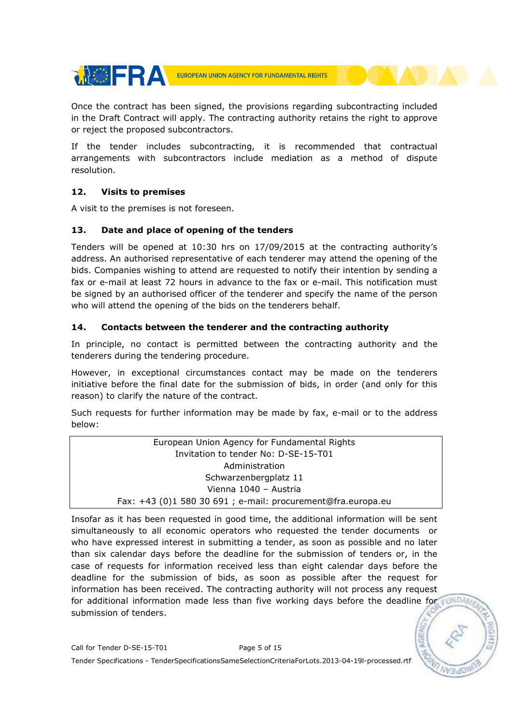

Once the contract has been signed, the provisions regarding subcontracting included in the Draft Contract will apply. The contracting authority retains the right to approve or reject the proposed subcontractors.

If the tender includes subcontracting, it is recommended that contractual arrangements with subcontractors include mediation as a method of dispute resolution.

### 12. Visits to premises

A visit to the premises is not foreseen.

## 13. Date and place of opening of the tenders

Tenders will be opened at 10:30 hrs on 17/09/2015 at the contracting authority's address. An authorised representative of each tenderer may attend the opening of the bids. Companies wishing to attend are requested to notify their intention by sending a fax or e-mail at least 72 hours in advance to the fax or e-mail. This notification must be signed by an authorised officer of the tenderer and specify the name of the person who will attend the opening of the bids on the tenderers behalf.

## 14. Contacts between the tenderer and the contracting authority

In principle, no contact is permitted between the contracting authority and the tenderers during the tendering procedure.

However, in exceptional circumstances contact may be made on the tenderers initiative before the final date for the submission of bids, in order (and only for this reason) to clarify the nature of the contract.

Such requests for further information may be made by fax, e-mail or to the address below:

European Union Agency for Fundamental Rights Invitation to tender No: D-SE-15-T01 Administration Schwarzenbergplatz 11 Vienna 1040 – Austria Fax: +43 (0)1 580 30 691 ; e-mail: procurement@fra.europa.eu

Insofar as it has been requested in good time, the additional information will be sent simultaneously to all economic operators who requested the tender documents or who have expressed interest in submitting a tender, as soon as possible and no later than six calendar days before the deadline for the submission of tenders or, in the case of requests for information received less than eight calendar days before the deadline for the submission of bids, as soon as possible after the request for information has been received. The contracting authority will not process any request for additional information made less than five working days before the deadline for  $\epsilon$ UNDA submission of tenders.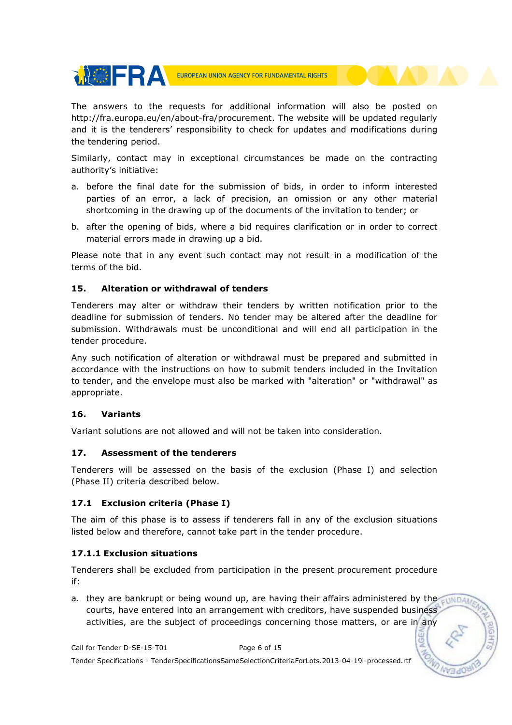

The answers to the requests for additional information will also be posted on http://fra.europa.eu/en/about-fra/procurement. The website will be updated regularly and it is the tenderers' responsibility to check for updates and modifications during the tendering period.

Similarly, contact may in exceptional circumstances be made on the contracting authority's initiative:

- a. before the final date for the submission of bids, in order to inform interested parties of an error, a lack of precision, an omission or any other material shortcoming in the drawing up of the documents of the invitation to tender; or
- b. after the opening of bids, where a bid requires clarification or in order to correct material errors made in drawing up a bid.

Please note that in any event such contact may not result in a modification of the terms of the bid.

### 15. Alteration or withdrawal of tenders

Tenderers may alter or withdraw their tenders by written notification prior to the deadline for submission of tenders. No tender may be altered after the deadline for submission. Withdrawals must be unconditional and will end all participation in the tender procedure.

Any such notification of alteration or withdrawal must be prepared and submitted in accordance with the instructions on how to submit tenders included in the Invitation to tender, and the envelope must also be marked with "alteration" or "withdrawal" as appropriate.

#### 16. Variants

Variant solutions are not allowed and will not be taken into consideration.

#### 17. Assessment of the tenderers

Tenderers will be assessed on the basis of the exclusion (Phase I) and selection (Phase II) criteria described below.

## 17.1 Exclusion criteria (Phase I)

The aim of this phase is to assess if tenderers fall in any of the exclusion situations listed below and therefore, cannot take part in the tender procedure.

#### 17.1.1 Exclusion situations

Tenderers shall be excluded from participation in the present procurement procedure if:

a. they are bankrupt or being wound up, are having their affairs administered by the  $\epsilon_{\rm WMD4}$ courts, have entered into an arrangement with creditors, have suspended business activities, are the subject of proceedings concerning those matters, or are in any

Call for Tender D-SE-15-T01 Page 6 of 15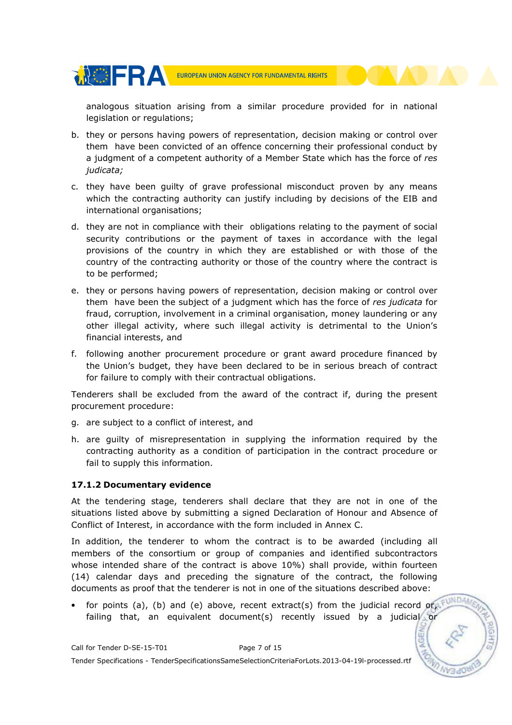

analogous situation arising from a similar procedure provided for in national legislation or regulations;

- b. they or persons having powers of representation, decision making or control over them have been convicted of an offence concerning their professional conduct by a judgment of a competent authority of a Member State which has the force of res judicata;
- c. they have been guilty of grave professional misconduct proven by any means which the contracting authority can justify including by decisions of the EIB and international organisations;
- d. they are not in compliance with their obligations relating to the payment of social security contributions or the payment of taxes in accordance with the legal provisions of the country in which they are established or with those of the country of the contracting authority or those of the country where the contract is to be performed;
- e. they or persons having powers of representation, decision making or control over them have been the subject of a judgment which has the force of res judicata for fraud, corruption, involvement in a criminal organisation, money laundering or any other illegal activity, where such illegal activity is detrimental to the Union's financial interests, and
- f. following another procurement procedure or grant award procedure financed by the Union's budget, they have been declared to be in serious breach of contract for failure to comply with their contractual obligations.

Tenderers shall be excluded from the award of the contract if, during the present procurement procedure:

- g. are subject to a conflict of interest, and
- h. are guilty of misrepresentation in supplying the information required by the contracting authority as a condition of participation in the contract procedure or fail to supply this information.

## 17.1.2 Documentary evidence

At the tendering stage, tenderers shall declare that they are not in one of the situations listed above by submitting a signed Declaration of Honour and Absence of Conflict of Interest, in accordance with the form included in Annex C.

In addition, the tenderer to whom the contract is to be awarded (including all members of the consortium or group of companies and identified subcontractors whose intended share of the contract is above 10%) shall provide, within fourteen (14) calendar days and preceding the signature of the contract, the following documents as proof that the tenderer is not in one of the situations described above:

• for points (a), (b) and (e) above, recent extract(s) from the judicial record or,  $F^{UNDAM}$ failing that, an equivalent document(s) recently issued by a judicial or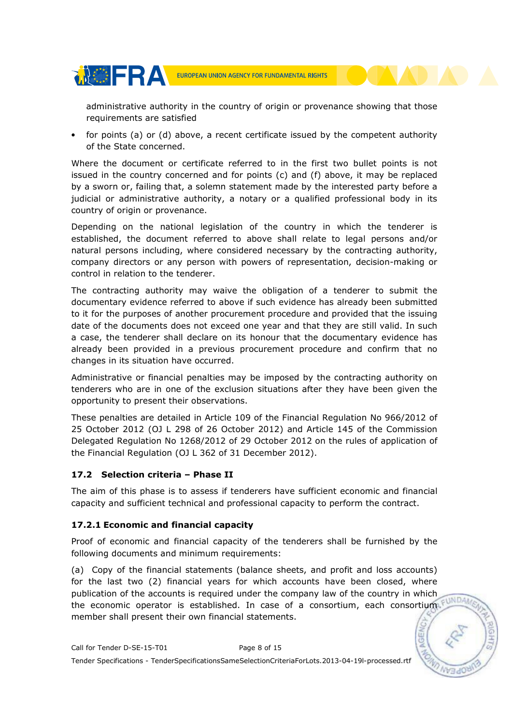

administrative authority in the country of origin or provenance showing that those requirements are satisfied

• for points (a) or (d) above, a recent certificate issued by the competent authority of the State concerned.

Where the document or certificate referred to in the first two bullet points is not issued in the country concerned and for points (c) and (f) above, it may be replaced by a sworn or, failing that, a solemn statement made by the interested party before a judicial or administrative authority, a notary or a qualified professional body in its country of origin or provenance.

Depending on the national legislation of the country in which the tenderer is established, the document referred to above shall relate to legal persons and/or natural persons including, where considered necessary by the contracting authority, company directors or any person with powers of representation, decision-making or control in relation to the tenderer.

The contracting authority may waive the obligation of a tenderer to submit the documentary evidence referred to above if such evidence has already been submitted to it for the purposes of another procurement procedure and provided that the issuing date of the documents does not exceed one year and that they are still valid. In such a case, the tenderer shall declare on its honour that the documentary evidence has already been provided in a previous procurement procedure and confirm that no changes in its situation have occurred.

Administrative or financial penalties may be imposed by the contracting authority on tenderers who are in one of the exclusion situations after they have been given the opportunity to present their observations.

These penalties are detailed in Article 109 of the Financial Regulation No 966/2012 of 25 October 2012 (OJ L 298 of 26 October 2012) and Article 145 of the Commission Delegated Regulation No 1268/2012 of 29 October 2012 on the rules of application of the Financial Regulation (OJ L 362 of 31 December 2012).

#### 17.2 Selection criteria – Phase II

The aim of this phase is to assess if tenderers have sufficient economic and financial capacity and sufficient technical and professional capacity to perform the contract.

## 17.2.1 Economic and financial capacity

Proof of economic and financial capacity of the tenderers shall be furnished by the following documents and minimum requirements:

(a) Copy of the financial statements (balance sheets, and profit and loss accounts) for the last two (2) financial years for which accounts have been closed, where publication of the accounts is required under the company law of the country in which the economic operator is established. In case of a consortium, each consortium, FUNDAL member shall present their own financial statements.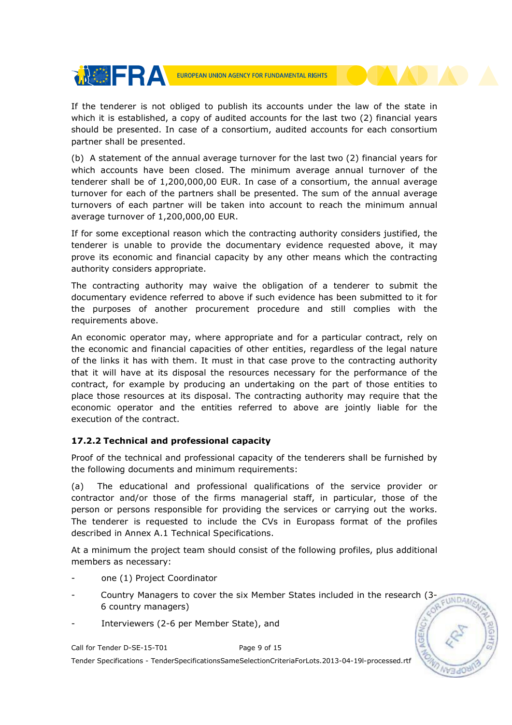

If the tenderer is not obliged to publish its accounts under the law of the state in which it is established, a copy of audited accounts for the last two (2) financial years should be presented. In case of a consortium, audited accounts for each consortium partner shall be presented.

(b) A statement of the annual average turnover for the last two (2) financial years for which accounts have been closed. The minimum average annual turnover of the tenderer shall be of 1,200,000,00 EUR. In case of a consortium, the annual average turnover for each of the partners shall be presented. The sum of the annual average turnovers of each partner will be taken into account to reach the minimum annual average turnover of 1,200,000,00 EUR.

If for some exceptional reason which the contracting authority considers justified, the tenderer is unable to provide the documentary evidence requested above, it may prove its economic and financial capacity by any other means which the contracting authority considers appropriate.

The contracting authority may waive the obligation of a tenderer to submit the documentary evidence referred to above if such evidence has been submitted to it for the purposes of another procurement procedure and still complies with the requirements above.

An economic operator may, where appropriate and for a particular contract, rely on the economic and financial capacities of other entities, regardless of the legal nature of the links it has with them. It must in that case prove to the contracting authority that it will have at its disposal the resources necessary for the performance of the contract, for example by producing an undertaking on the part of those entities to place those resources at its disposal. The contracting authority may require that the economic operator and the entities referred to above are jointly liable for the execution of the contract.

## 17.2.2 Technical and professional capacity

Proof of the technical and professional capacity of the tenderers shall be furnished by the following documents and minimum requirements:

(a) The educational and professional qualifications of the service provider or contractor and/or those of the firms managerial staff, in particular, those of the person or persons responsible for providing the services or carrying out the works. The tenderer is requested to include the CVs in Europass format of the profiles described in Annex A.1 Technical Specifications.

At a minimum the project team should consist of the following profiles, plus additional members as necessary:

- one (1) Project Coordinator
- Country Managers to cover the six Member States included in the research (3- $\n <sub>1</sub>$ <sub>I</sub>ND<sub>A</sub> 6 country managers)
- Interviewers (2-6 per Member State), and

Call for Tender D-SE-15-T01 Page 9 of 15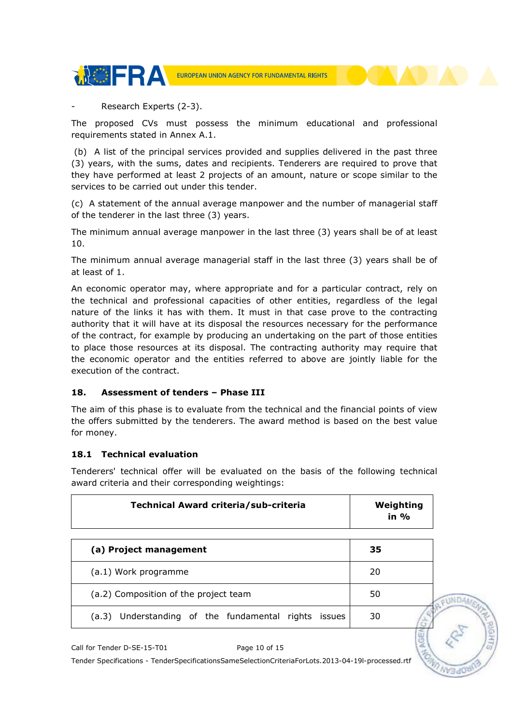

Research Experts (2-3).

The proposed CVs must possess the minimum educational and professional requirements stated in Annex A.1.

 (b) A list of the principal services provided and supplies delivered in the past three (3) years, with the sums, dates and recipients. Tenderers are required to prove that they have performed at least 2 projects of an amount, nature or scope similar to the services to be carried out under this tender.

(c) A statement of the annual average manpower and the number of managerial staff of the tenderer in the last three (3) years.

The minimum annual average manpower in the last three (3) years shall be of at least 10.

The minimum annual average managerial staff in the last three (3) years shall be of at least of 1.

An economic operator may, where appropriate and for a particular contract, rely on the technical and professional capacities of other entities, regardless of the legal nature of the links it has with them. It must in that case prove to the contracting authority that it will have at its disposal the resources necessary for the performance of the contract, for example by producing an undertaking on the part of those entities to place those resources at its disposal. The contracting authority may require that the economic operator and the entities referred to above are jointly liable for the execution of the contract.

#### 18. Assessment of tenders – Phase III

The aim of this phase is to evaluate from the technical and the financial points of view the offers submitted by the tenderers. The award method is based on the best value for money.

#### 18.1 Technical evaluation

Tenderers' technical offer will be evaluated on the basis of the following technical award criteria and their corresponding weightings:

| Technical Award criteria/sub-criteria                      | Weighting<br>in $\%$ |
|------------------------------------------------------------|----------------------|
| (a) Project management                                     | 35                   |
| (a.1) Work programme                                       | 20                   |
| (a.2) Composition of the project team                      | 50                   |
| Understanding of the fundamental rights<br>(a.3)<br>issues | 30                   |

Call for Tender D-SE-15-T01 Page 10 of 15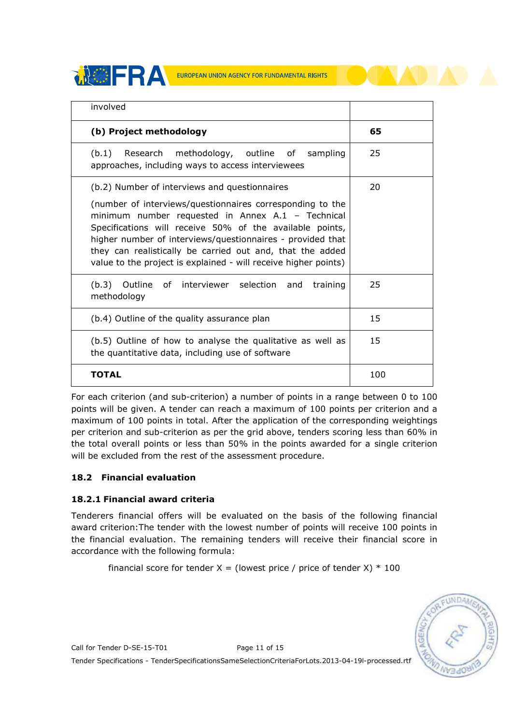**THE REAL EUROPEAN UNION AGENCY FOR FUNDAMENTAL RIGHTS** 

| involved                                                                                                                                                                                                                                                                                                                                                                 |     |
|--------------------------------------------------------------------------------------------------------------------------------------------------------------------------------------------------------------------------------------------------------------------------------------------------------------------------------------------------------------------------|-----|
| (b) Project methodology                                                                                                                                                                                                                                                                                                                                                  | 65  |
| Research methodology, outline of<br>(b.1)<br>sampling<br>approaches, including ways to access interviewees                                                                                                                                                                                                                                                               | 25  |
| (b.2) Number of interviews and questionnaires                                                                                                                                                                                                                                                                                                                            | 20  |
| (number of interviews/questionnaires corresponding to the<br>minimum number requested in Annex A.1 - Technical<br>Specifications will receive 50% of the available points,<br>higher number of interviews/questionnaires - provided that<br>they can realistically be carried out and, that the added<br>value to the project is explained - will receive higher points) |     |
| Outline of interviewer selection and<br>(b.3)<br>training<br>methodology                                                                                                                                                                                                                                                                                                 | 25  |
| (b.4) Outline of the quality assurance plan                                                                                                                                                                                                                                                                                                                              | 15  |
| (b.5) Outline of how to analyse the qualitative as well as<br>the quantitative data, including use of software                                                                                                                                                                                                                                                           | 15  |
| TOTAL                                                                                                                                                                                                                                                                                                                                                                    | 100 |

For each criterion (and sub-criterion) a number of points in a range between 0 to 100 points will be given. A tender can reach a maximum of 100 points per criterion and a maximum of 100 points in total. After the application of the corresponding weightings per criterion and sub-criterion as per the grid above, tenders scoring less than 60% in the total overall points or less than 50% in the points awarded for a single criterion will be excluded from the rest of the assessment procedure.

## 18.2 Financial evaluation

## 18.2.1 Financial award criteria

Tenderers financial offers will be evaluated on the basis of the following financial award criterion:The tender with the lowest number of points will receive 100 points in the financial evaluation. The remaining tenders will receive their financial score in accordance with the following formula:

financial score for tender  $X =$  (lowest price / price of tender X)  $*$  100



Call for Tender D-SE-15-T01 Page 11 of 15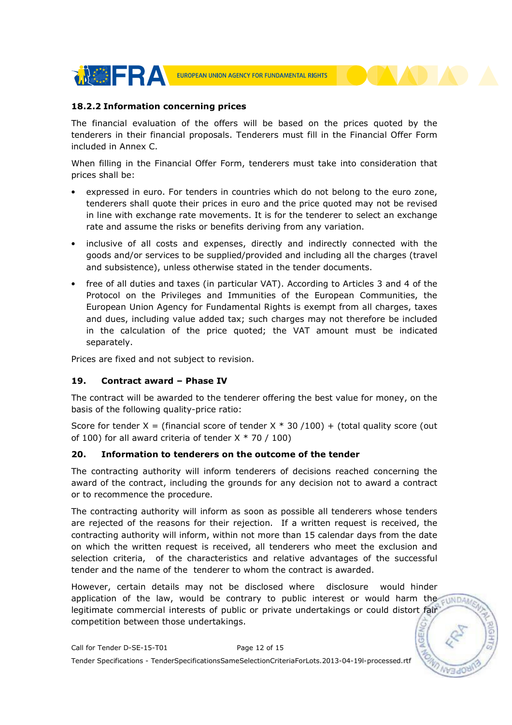

#### 18.2.2 Information concerning prices

The financial evaluation of the offers will be based on the prices quoted by the tenderers in their financial proposals. Tenderers must fill in the Financial Offer Form included in Annex C.

When filling in the Financial Offer Form, tenderers must take into consideration that prices shall be:

- expressed in euro. For tenders in countries which do not belong to the euro zone, tenderers shall quote their prices in euro and the price quoted may not be revised in line with exchange rate movements. It is for the tenderer to select an exchange rate and assume the risks or benefits deriving from any variation.
- inclusive of all costs and expenses, directly and indirectly connected with the goods and/or services to be supplied/provided and including all the charges (travel and subsistence), unless otherwise stated in the tender documents.
- free of all duties and taxes (in particular VAT). According to Articles 3 and 4 of the Protocol on the Privileges and Immunities of the European Communities, the European Union Agency for Fundamental Rights is exempt from all charges, taxes and dues, including value added tax; such charges may not therefore be included in the calculation of the price quoted; the VAT amount must be indicated separately.

Prices are fixed and not subject to revision.

#### 19. Contract award – Phase IV

The contract will be awarded to the tenderer offering the best value for money, on the basis of the following quality-price ratio:

Score for tender X = (financial score of tender X  $*$  30 /100) + (total quality score (out of 100) for all award criteria of tender  $X * 70 / 100$ 

#### 20. Information to tenderers on the outcome of the tender

The contracting authority will inform tenderers of decisions reached concerning the award of the contract, including the grounds for any decision not to award a contract or to recommence the procedure.

The contracting authority will inform as soon as possible all tenderers whose tenders are rejected of the reasons for their rejection. If a written request is received, the contracting authority will inform, within not more than 15 calendar days from the date on which the written request is received, all tenderers who meet the exclusion and selection criteria, of the characteristics and relative advantages of the successful tender and the name of the tenderer to whom the contract is awarded.

However, certain details may not be disclosed where disclosure would hinder application of the law, would be contrary to public interest or would harm the cundar legitimate commercial interests of public or private undertakings or could distort fair competition between those undertakings.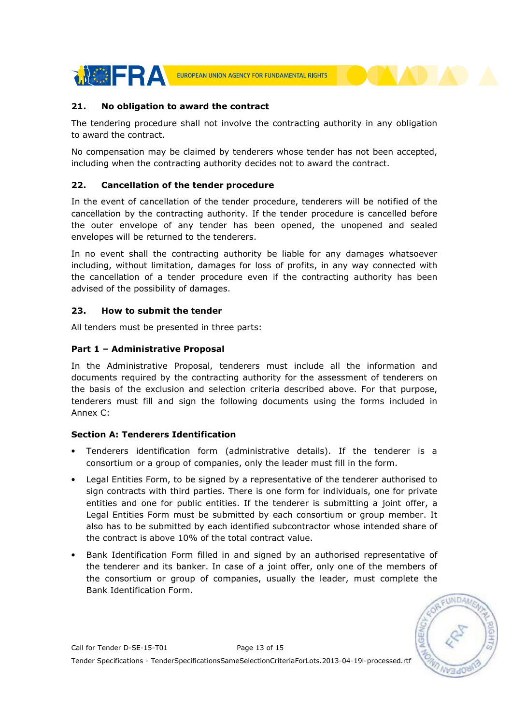

#### 21. No obligation to award the contract

The tendering procedure shall not involve the contracting authority in any obligation to award the contract.

No compensation may be claimed by tenderers whose tender has not been accepted, including when the contracting authority decides not to award the contract.

#### 22. Cancellation of the tender procedure

In the event of cancellation of the tender procedure, tenderers will be notified of the cancellation by the contracting authority. If the tender procedure is cancelled before the outer envelope of any tender has been opened, the unopened and sealed envelopes will be returned to the tenderers.

In no event shall the contracting authority be liable for any damages whatsoever including, without limitation, damages for loss of profits, in any way connected with the cancellation of a tender procedure even if the contracting authority has been advised of the possibility of damages.

#### 23. How to submit the tender

All tenders must be presented in three parts:

### Part 1 – Administrative Proposal

In the Administrative Proposal, tenderers must include all the information and documents required by the contracting authority for the assessment of tenderers on the basis of the exclusion and selection criteria described above. For that purpose, tenderers must fill and sign the following documents using the forms included in Annex C:

#### Section A: Tenderers Identification

- Tenderers identification form (administrative details). If the tenderer is a consortium or a group of companies, only the leader must fill in the form.
- Legal Entities Form, to be signed by a representative of the tenderer authorised to sign contracts with third parties. There is one form for individuals, one for private entities and one for public entities. If the tenderer is submitting a joint offer, a Legal Entities Form must be submitted by each consortium or group member. It also has to be submitted by each identified subcontractor whose intended share of the contract is above 10% of the total contract value.
- Bank Identification Form filled in and signed by an authorised representative of the tenderer and its banker. In case of a joint offer, only one of the members of the consortium or group of companies, usually the leader, must complete the Bank Identification Form.

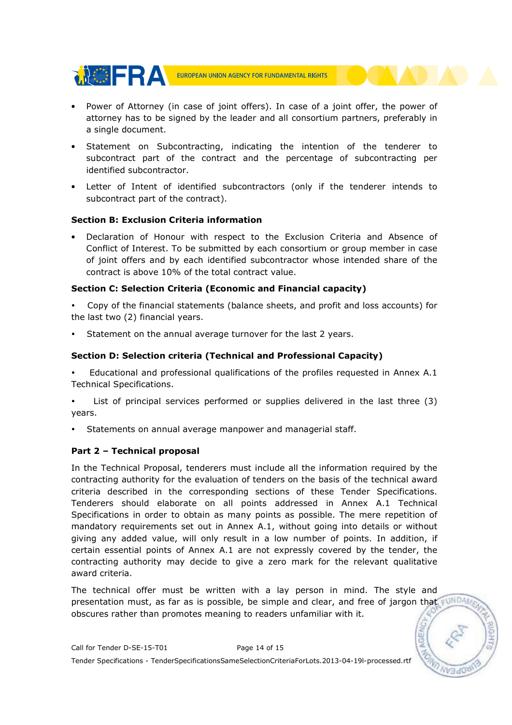

- Power of Attorney (in case of joint offers). In case of a joint offer, the power of attorney has to be signed by the leader and all consortium partners, preferably in a single document.
- Statement on Subcontracting, indicating the intention of the tenderer to subcontract part of the contract and the percentage of subcontracting per identified subcontractor.
- Letter of Intent of identified subcontractors (only if the tenderer intends to subcontract part of the contract).

### Section B: Exclusion Criteria information

• Declaration of Honour with respect to the Exclusion Criteria and Absence of Conflict of Interest. To be submitted by each consortium or group member in case of joint offers and by each identified subcontractor whose intended share of the contract is above 10% of the total contract value.

### Section C: Selection Criteria (Economic and Financial capacity)

- Copy of the financial statements (balance sheets, and profit and loss accounts) for the last two (2) financial years.
- Statement on the annual average turnover for the last 2 years.

## Section D: Selection criteria (Technical and Professional Capacity)

- Educational and professional qualifications of the profiles requested in Annex A.1 Technical Specifications.
- List of principal services performed or supplies delivered in the last three (3) years.
- Statements on annual average manpower and managerial staff.

## Part 2 – Technical proposal

In the Technical Proposal, tenderers must include all the information required by the contracting authority for the evaluation of tenders on the basis of the technical award criteria described in the corresponding sections of these Tender Specifications. Tenderers should elaborate on all points addressed in Annex A.1 Technical Specifications in order to obtain as many points as possible. The mere repetition of mandatory requirements set out in Annex A.1, without going into details or without giving any added value, will only result in a low number of points. In addition, if certain essential points of Annex A.1 are not expressly covered by the tender, the contracting authority may decide to give a zero mark for the relevant qualitative award criteria.

The technical offer must be written with a lay person in mind. The style and presentation must, as far as is possible, be simple and clear, and free of jargon that obscures rather than promotes meaning to readers unfamiliar with it.